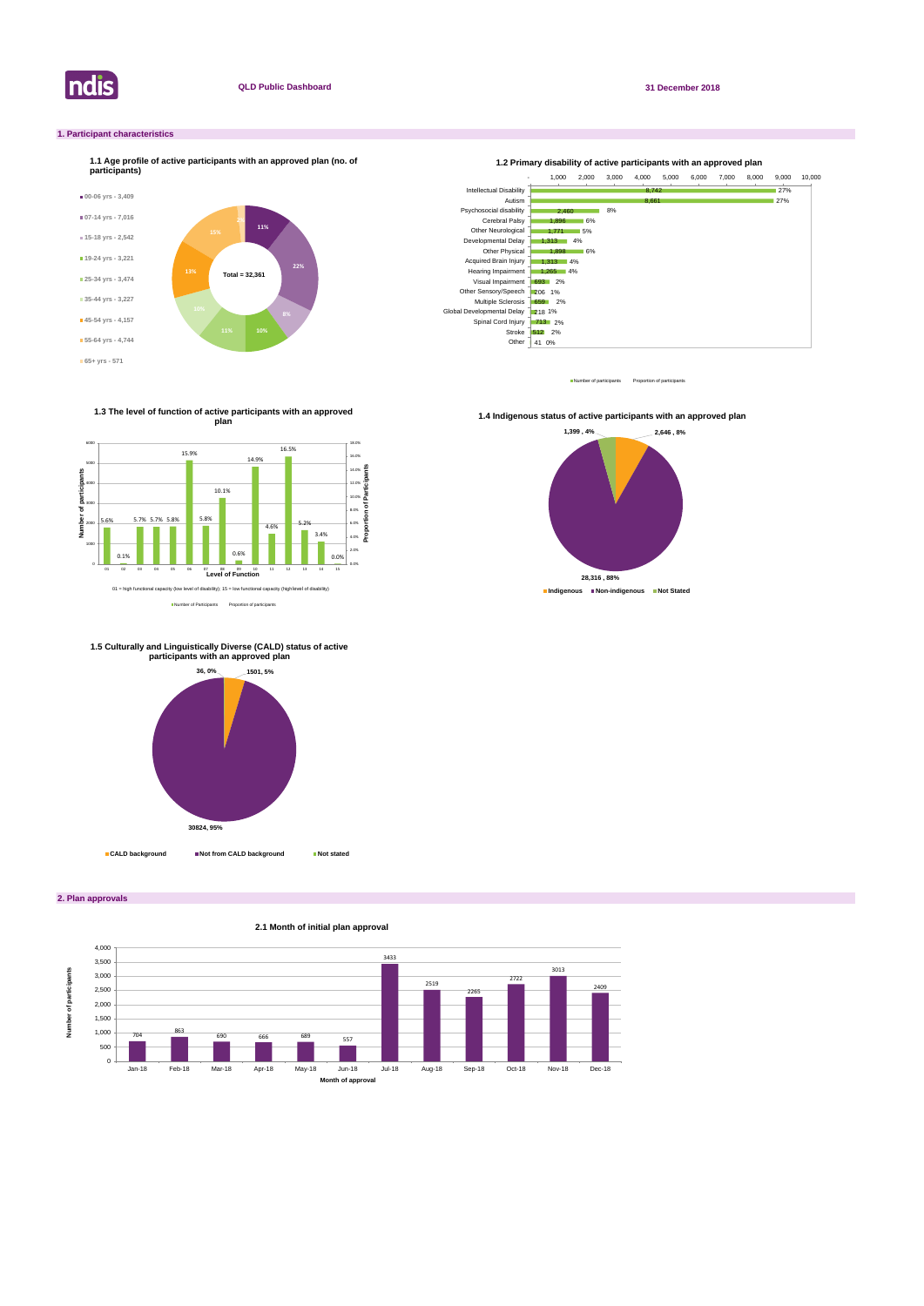

**2. Plan approvals**

### **1. Participant characteristics**



Number of participants Proportion of participant



**2.1 Month of initial plan approval**

Number of Participants Proportion of participants

**1.3 The level of function of active participants with an approved plan**



**1.4 Indigenous status of active participants with an approved plan** 







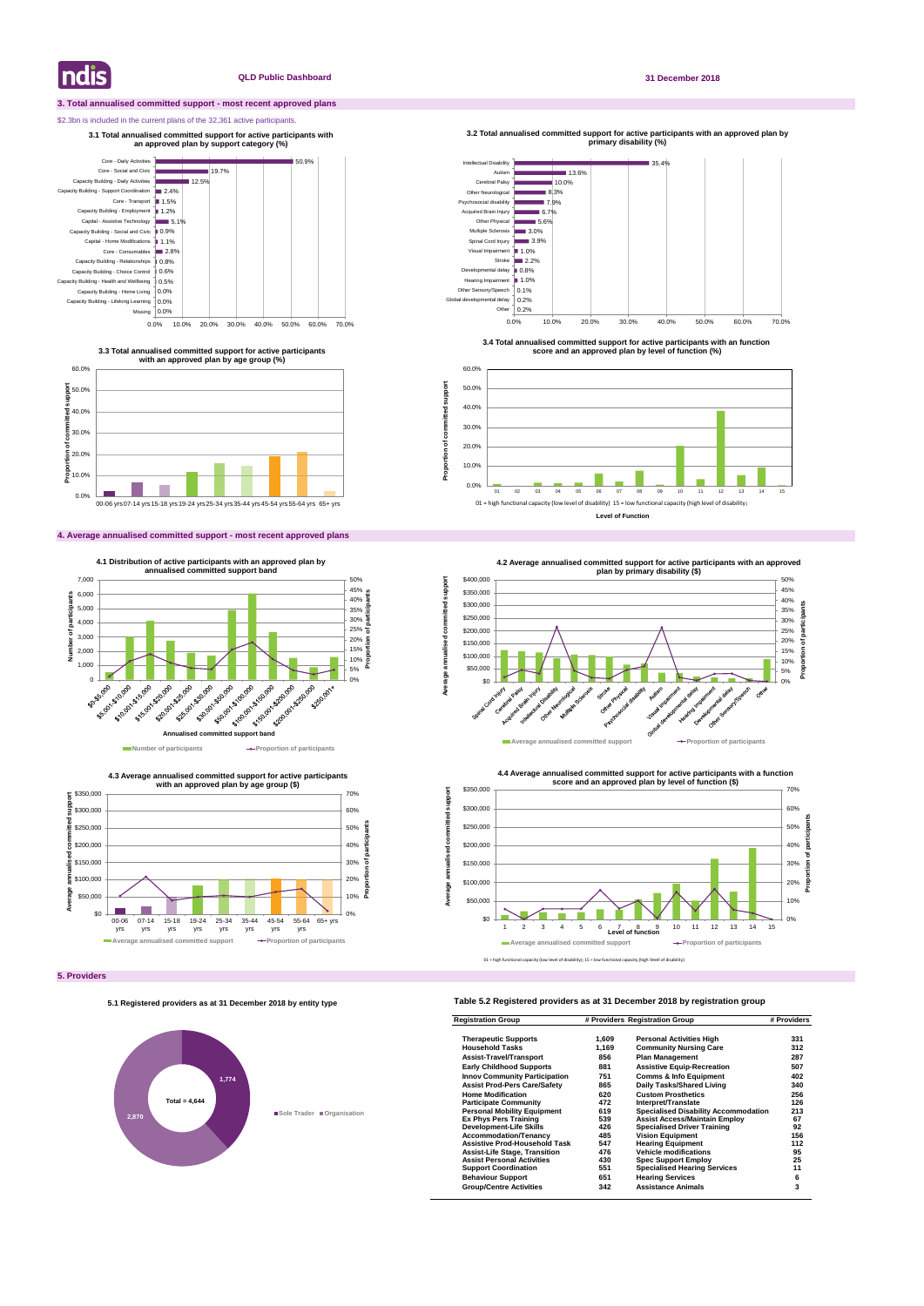#### **3. Total annualised committed support - most recent approved plans**

#### \$2.3bn is included in the current plans of the 32,361 active participants.

#### **4. Average annualised committed support - most recent approved plans**

**5. Providers**

### **Table 5.2 Registered providers as at 31 December 2018 by registration group**

| <b>Registration Group</b>            | # Providers Registration Group |                                             | # Providers |
|--------------------------------------|--------------------------------|---------------------------------------------|-------------|
| <b>Therapeutic Supports</b>          | 1,609                          | <b>Personal Activities High</b>             | 331         |
| <b>Household Tasks</b>               | 1,169                          | <b>Community Nursing Care</b>               | 312         |
| <b>Assist-Travel/Transport</b>       | 856                            | <b>Plan Management</b>                      | 287         |
| <b>Early Childhood Supports</b>      | 881                            | <b>Assistive Equip-Recreation</b>           | 507         |
| <b>Innov Community Participation</b> | 751                            | <b>Comms &amp; Info Equipment</b>           | 402         |
| <b>Assist Prod-Pers Care/Safety</b>  | 865                            | Daily Tasks/Shared Living                   | 340         |
| <b>Home Modification</b>             | 620                            | <b>Custom Prosthetics</b>                   | 256         |
| <b>Participate Community</b>         | 472                            | Interpret/Translate                         | 126         |
| <b>Personal Mobility Equipment</b>   | 619                            | <b>Specialised Disability Accommodation</b> | 213         |
| <b>Ex Phys Pers Training</b>         | 539                            | <b>Assist Access/Maintain Employ</b>        | 67          |
| Development-Life Skills              | 426                            | <b>Specialised Driver Training</b>          | 92          |
| <b>Accommodation/Tenancy</b>         | 485                            | <b>Vision Equipment</b>                     | 156         |
| <b>Assistive Prod-Household Task</b> | 547                            | <b>Hearing Equipment</b>                    | 112         |
| <b>Assist-Life Stage, Transition</b> | 476                            | <b>Vehicle modifications</b>                | 95          |
| <b>Assist Personal Activities</b>    | 430                            | <b>Spec Support Employ</b>                  | 25          |
| <b>Support Coordination</b>          | 551                            | <b>Specialised Hearing Services</b>         | 11          |
| <b>Behaviour Support</b>             | 651                            | <b>Hearing Services</b>                     | 6           |
| <b>Group/Centre Activities</b>       | 342                            | <b>Assistance Animals</b>                   | 3           |

**Indis** 

#### **QLD Public Dashboard 31 December 2018**





**3.3 Total annualised committed support for active participants with an approved plan by age group (%)**

**3.1 Total annualised committed support for active participants with an approved plan by support category (%)** 



**4.3 Average annualised committed support for active participants** 



**3.2 Total annualised committed support for active participants with an approved plan by** 

**Proportion of committed support**

Proportion of committed

support

**3.4 Total annualised committed support for active participants with an function score and an approved plan by level of function (%)**



**Level of Function**

#### **5.1 Registered providers as at 31 December 2018 by entity type**

# **1,774 2,870 Sole Trader Organisation Total = 4,644**

01 = high functional capacity (low level of disability); 15 = low functional capacity (high level of disability)





**Average annualised committed support**

annualised

Average a

ā

imitted support

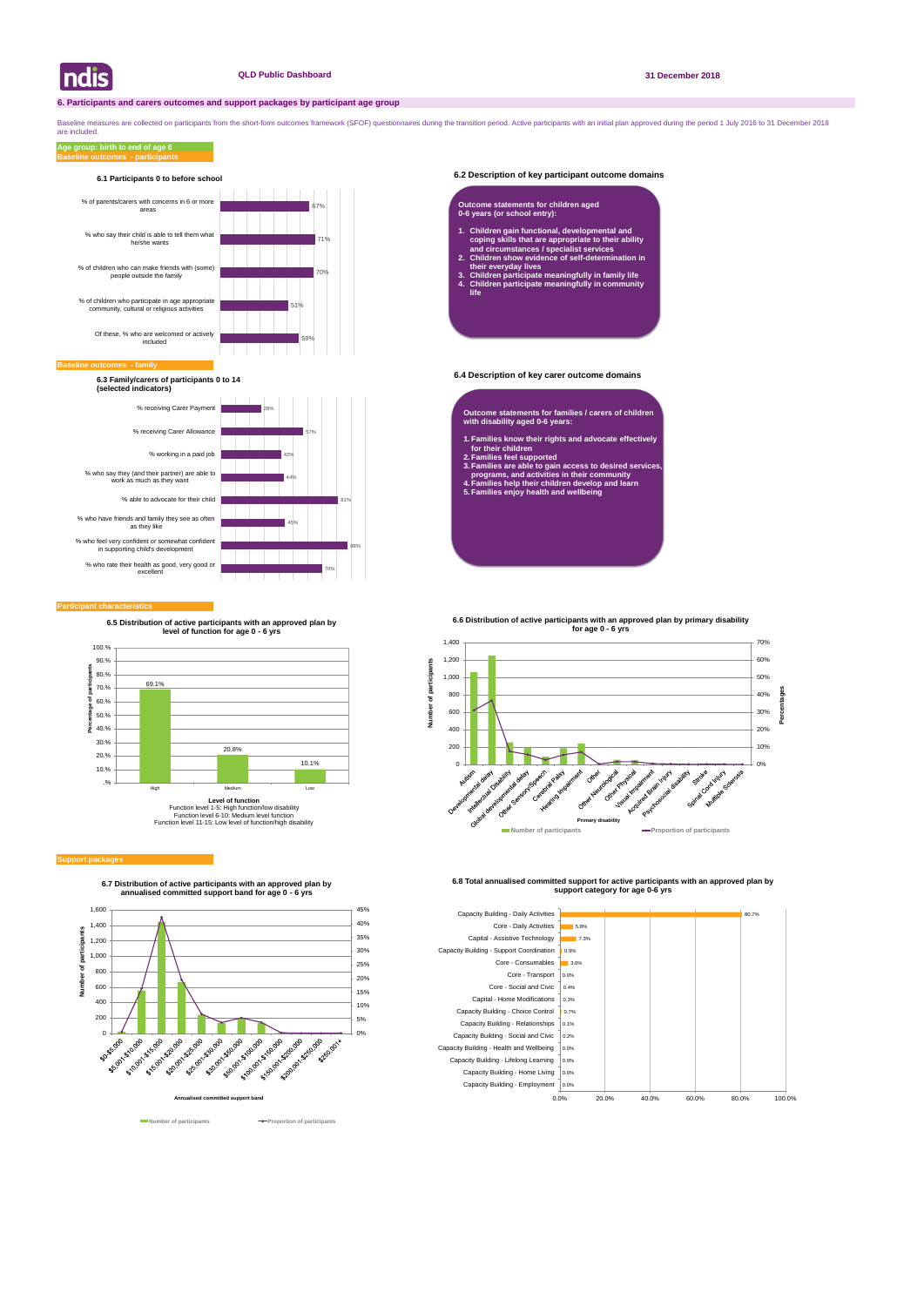#### **6.2 Description of key participant outcome domains**

#### **6.4 Description of key carer outcome domains**

#### **Participant characteristics**

Baseline measures are collected on participants from the short-form outcomes framework (SFOF) questionnaires during the transition period. Active participants with an initial plan approved during the period 1 July 2016 to are included.

#### **Baseline outcomes - participants Age group: birth to end of age 6**





**6.7 Distribution of active participants with an approved plan by annualised committed support band for age 0 - 6 yrs**





**6.8 Total annualised committed support for active participants with an approved plan by support category for age 0-6 yrs** 



#### **Baseline of**



#### **6.1 Participants 0 to before school**

**6.3 Family/carers of participants 0 to 14 (selected indicators)**

- **Outcome statements for families / carers of children with disability aged 0-6 years:**
- **1. Families know their rights and advocate effectively for their children**
- **2. Families feel supported**
- **3. Families are able to gain access to desired services, programs, and activities in their community**
- **4. Families help their children develop and learn 5. Families enjoy health and wellbeing**

#### **Outcome statements for children aged 0-6 years (or school entry):**

- **1. Children gain functional, developmental and coping skills that are appropriate to their ability and circumstances / specialist services**
- **2. Children show evidence of self-determination in their everyday lives**
- **3. Children participate meaningfully in family life 4. Children participate meaningfully in community life**



#### **Support package**

**6.5 Distribution of active participants with an approved plan by level of function for age 0 - 6 yrs**



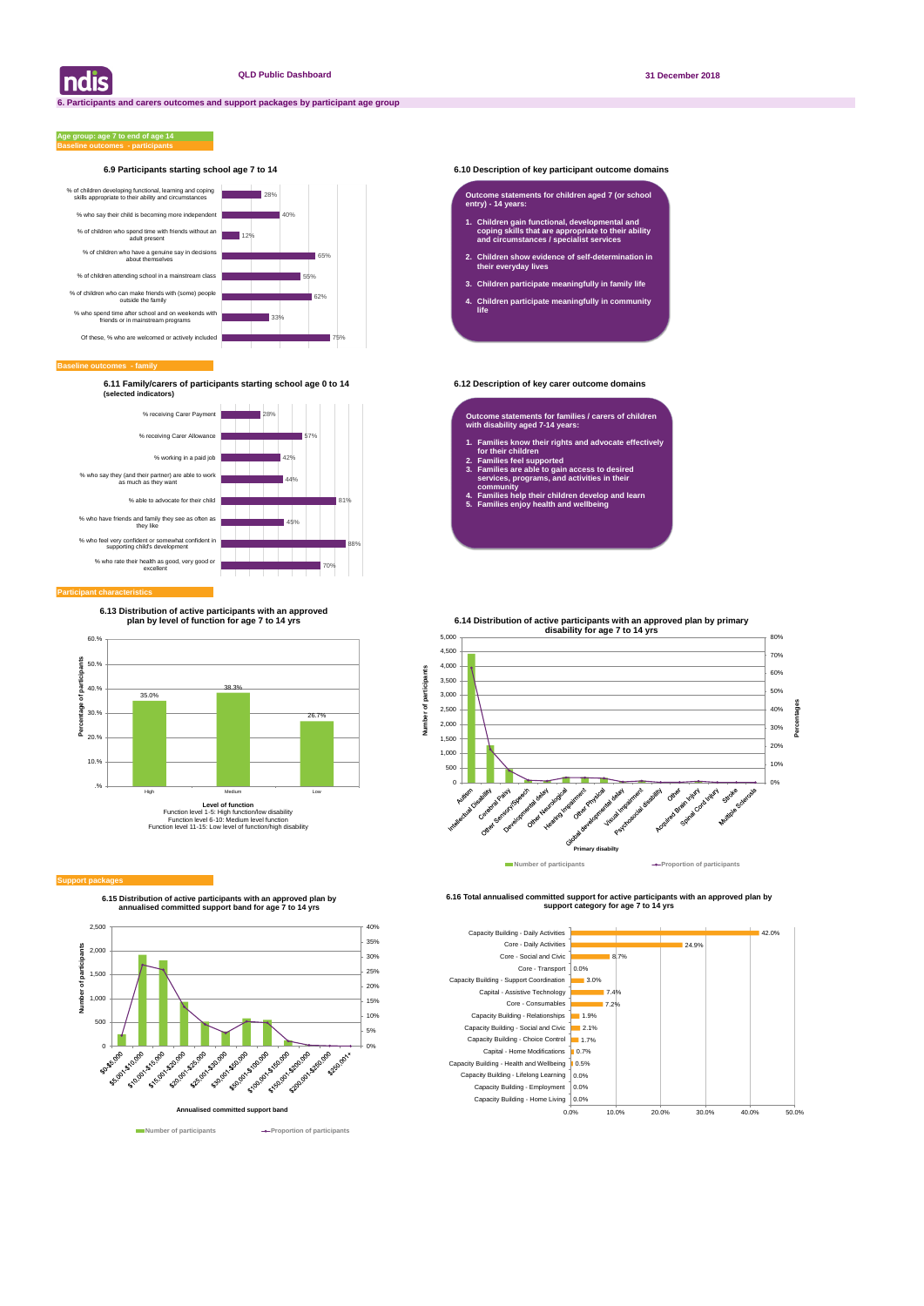#### **6.9 Participants starting school age 7 to 14 6.10 Description of key participant outcome domains**

#### **Baseline outcomes - family**

#### **Baseline outcomes - participants Age group: age 7 to end of age 14**

**6.11 Family/carers of participants starting school age 0 to 14 6.12 Description of key carer outcome domains (selected indicators)**

| ndis



**6.15 Distribution of active participants with an approved plan by annualised committed support band for age 7 to 14 yrs**



**Number of participants Proportion of participants** 

**6.16 Total annualised committed support for active participants with an approved plan by support category for age 7 to 14 yrs** 





#### **Participant characteristic**

#### **Outcome statements for children aged 7 (or school entry) - 14 years:**

- **1. Children gain functional, developmental and coping skills that are appropriate to their ability and circumstances / specialist services**
- **2. Children show evidence of self-determination in their everyday lives**
- **3. Children participate meaningfully in family life**
- **4. Children participate meaningfully in community life**

**Outcome statements for families / carers of children with disability aged 7-14 years:**

- **1. Families know their rights and advocate effectively for their children**
- **2. Families feel supported**

쁕 cipa

Number

- **3. Families are able to gain access to desired services, programs, and activities in their community**
- **4. Families help their children develop and learn**
- **5. Families enjoy health and wellbeing**



#### **Support packa**

**6.13 Distribution of active participants with an approved plan by level of function for age 7 to 14 yrs**

**6.14 Distribution of active participants with an approved plan by primary** 

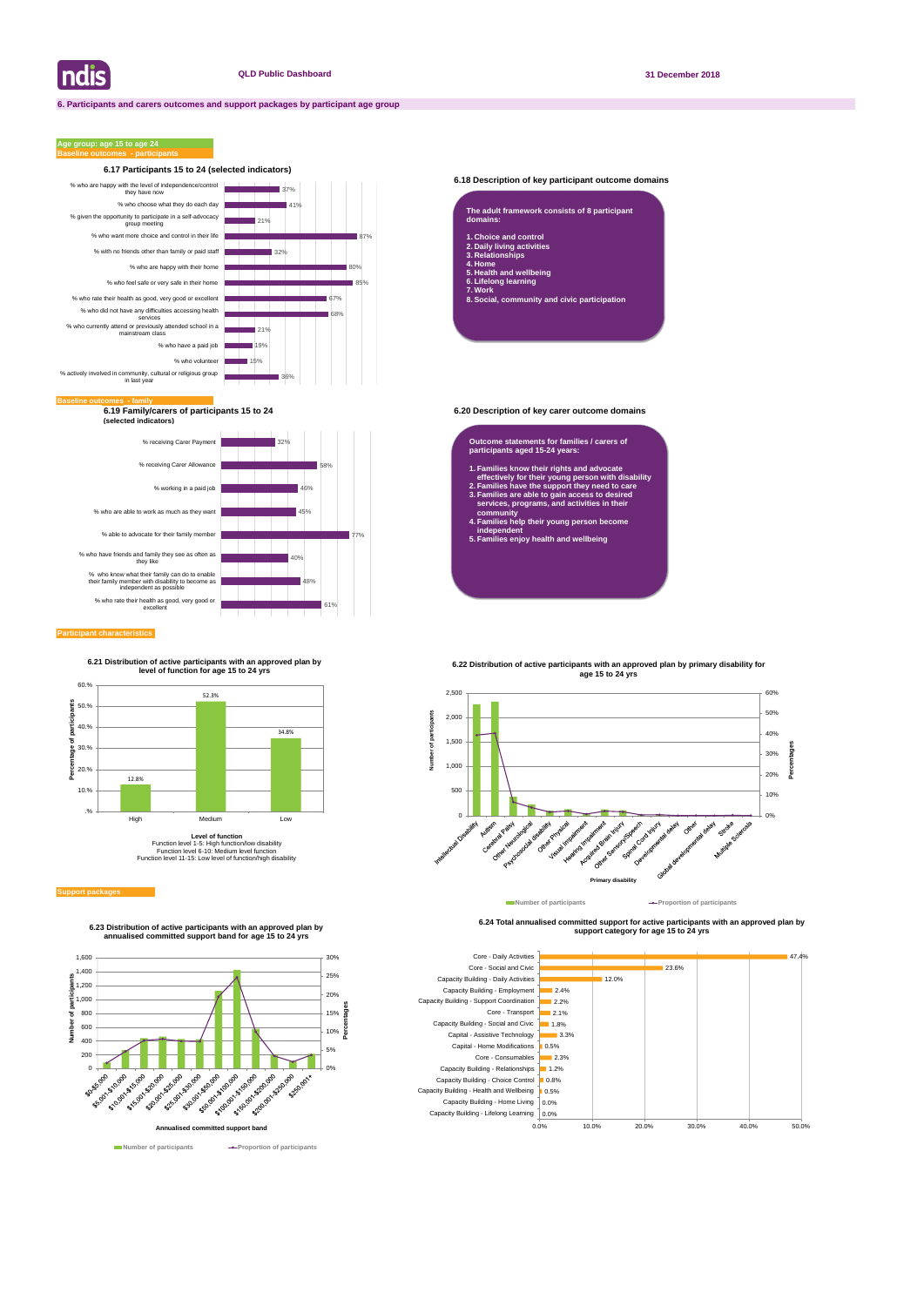

#### **6.18 Description of key participant outcome domains**

**6.19 Family/carers of participants 15 to 24 6.20 Description of key carer outcome domains (selected indicators)**

#### **Participant characteristics**

### **Age group: age 15 to age 24**



**6.24 Total annualised committed support for active participants with an approved plan by support category for age 15 to 24 yrs** 



| domains:                                                                                                      | The adult framework consists of 8 participant |  |
|---------------------------------------------------------------------------------------------------------------|-----------------------------------------------|--|
| 1. Choice and control<br>2. Daily living activities<br>3. Relationships<br>4. Home<br>5. Health and wellbeing |                                               |  |

**6. Lifelong learning**

**7. Work 8. Social, community and civic participation**

#### **Outcome statements for families / carers of participants aged 15-24 years:**

**1. Families know their rights and advocate effectively for their young person with disability**

- **2. Families have the support they need to care 3. Families are able to gain access to desired services, programs, and activities in their**
- **community 4. Families help their young person become independent**
- **5. Families enjoy health and wellbeing**





**6.23 Distribution of active participants with an approved plan by annualised committed support band for age 15 to 24 yrs**

**6.21 Distribution of active participants with an approved plan by level of function for age 15 to 24 yrs**



Function level 1-5: High function/low disability Function level 6-10: Medium level function Function level 11-15: Low level of function/high disability

#### **Support package**



# **6.22 Distribution of active participants with an approved plan by primary disability for**

## **age 15 to 24 yrs**

**Number of participants Proportion of participants**